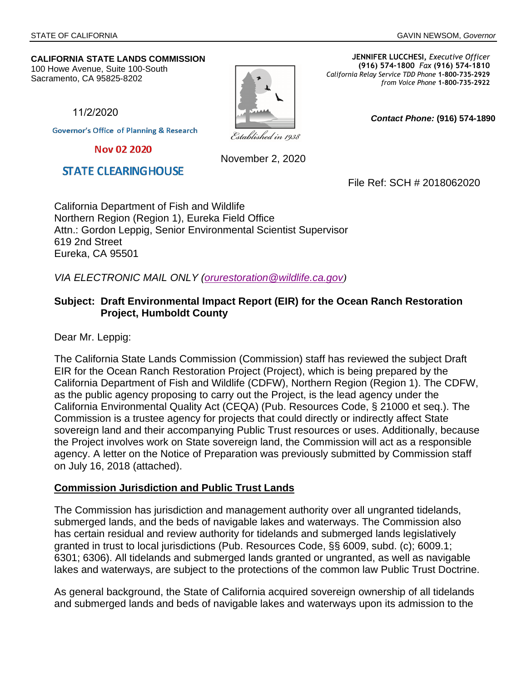*Contact Phone:* **(916) 574-1890** 

#### **CALIFORNIA STATE LANDS COMMISSION**

100 Howe Avenue, Suite 100-South Sacramento, CA 95825-8202

Established in 1938

**JENNIFER LUCCHESI,** *Executive Officer* **(916) 574-1800** *Fax* **(916) 574-1810**  *California Relay Service TDD Phone* **1-800-735-2929** *from Voice Phone* **1-800-735-2922** 

11/2/2020

**Governor's Office of Planning & Research** 

Nov 02 2020

**STATE CLEARINGHOUSE** 

November 2, 2020

File Ref: SCH # 2018062020

California Department of Fish and Wildlife Northern Region (Region 1), Eureka Field Office Attn.: Gordon Leppig, Senior Environmental Scientist Supervisor 619 2nd Street Eureka, CA 95501

*VIA ELECTRONIC MAIL ONLY ([orurestoration@wildlife.ca.gov](mailto:orurestoration@wildlife.ca.gov))*

### **Subject: Draft Environmental Impact Report (EIR) for the Ocean Ranch Restoration Project, Humboldt County**

Dear Mr. Leppig:

The California State Lands Commission (Commission) staff has reviewed the subject Draft EIR for the Ocean Ranch Restoration Project (Project), which is being prepared by the California Department of Fish and Wildlife (CDFW), Northern Region (Region 1). The CDFW, as the public agency proposing to carry out the Project, is the lead agency under the California Environmental Quality Act (CEQA) (Pub. Resources Code, § 21000 et seq.). The Commission is a trustee agency for projects that could directly or indirectly affect State sovereign land and their accompanying Public Trust resources or uses. Additionally, because the Project involves work on State sovereign land, the Commission will act as a responsible agency. A letter on the Notice of Preparation was previously submitted by Commission staff on July 16, 2018 (attached).

#### **Commission Jurisdiction and Public Trust Lands**

The Commission has jurisdiction and management authority over all ungranted tidelands, submerged lands, and the beds of navigable lakes and waterways. The Commission also has certain residual and review authority for tidelands and submerged lands legislatively granted in trust to local jurisdictions (Pub. Resources Code, §§ 6009, subd. (c); 6009.1; 6301; 6306). All tidelands and submerged lands granted or ungranted, as well as navigable lakes and waterways, are subject to the protections of the common law Public Trust Doctrine.

As general background, the State of California acquired sovereign ownership of all tidelands and submerged lands and beds of navigable lakes and waterways upon its admission to the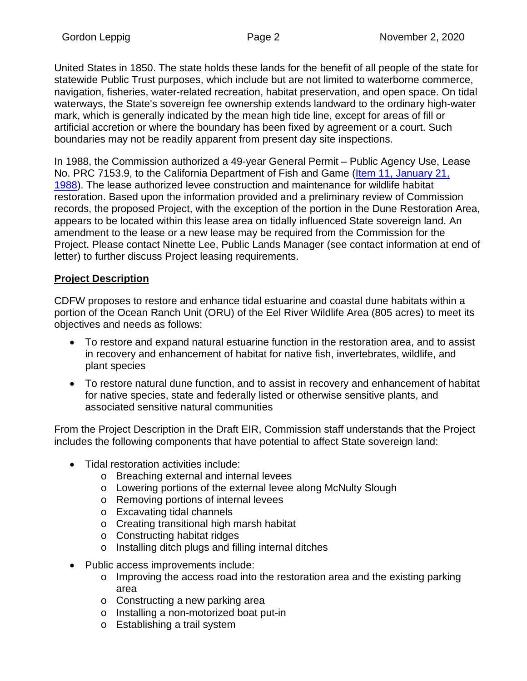United States in 1850. The state holds these lands for the benefit of all people of the state for statewide Public Trust purposes, which include but are not limited to waterborne commerce, navigation, fisheries, water-related recreation, habitat preservation, and open space. On tidal waterways, the State's sovereign fee ownership extends landward to the ordinary high-water mark, which is generally indicated by the mean high tide line, except for areas of fill or artificial accretion or where the boundary has been fixed by agreement or a court. Such boundaries may not be readily apparent from present day site inspections.

In 1988, the Commission authorized a 49-year General Permit – [Public Agency Use, Lea](http://archives.slc.ca.gov/Meeting_Summaries/1988_Documents/01-21-88/Items/012188R11.pdf)se [No. PRC 7153.9, to the California Department of Fish and Game \(Item 11, January 21](http://archives.slc.ca.gov/Meeting_Summaries/1988_Documents/01-21-88/Items/012188R11.pdf), 1988). The lease authorized levee construction and maintenance for wildlife habitat restoration. Based upon the information provided and a preliminary review of Commission records, the proposed Project, with the exception of the portion in the Dune Restoration Area, appears to be located within this lease area on tidally influenced State sovereign land. An amendment to the lease or a new lease may be required from the Commission for the Project. Please contact Ninette Lee, Public Lands Manager (see contact information at end of letter) to further discuss Project leasing requirements.

# **Project Description**

CDFW proposes to restore and enhance tidal estuarine and coastal dune habitats within a portion of the Ocean Ranch Unit (ORU) of the Eel River Wildlife Area (805 acres) to meet its objectives and needs as follows:

- To restore and expand natural estuarine function in the restoration area, and to assist in recovery and enhancement of habitat for native fish, invertebrates, wildlife, and plant species
- To restore natural dune function, and to assist in recovery and enhancement of habitat for native species, state and federally listed or otherwise sensitive plants, and associated sensitive natural communities

From the Project Description in the Draft EIR, Commission staff understands that the Project includes the following components that have potential to affect State sovereign land:

- Tidal restoration activities include:
	- o Breaching external and internal levees
	- o Lowering portions of the external levee along McNulty Slough
	- o Removing portions of internal levees
	- o Excavating tidal channels
	- o Creating transitional high marsh habitat
	- o Constructing habitat ridges
	- o Installing ditch plugs and filling internal ditches
- Public access improvements include:
	- o Improving the access road into the restoration area and the existing parking area
	- o Constructing a new parking area
	- o Installing a non-motorized boat put-in
	- o Establishing a trail system